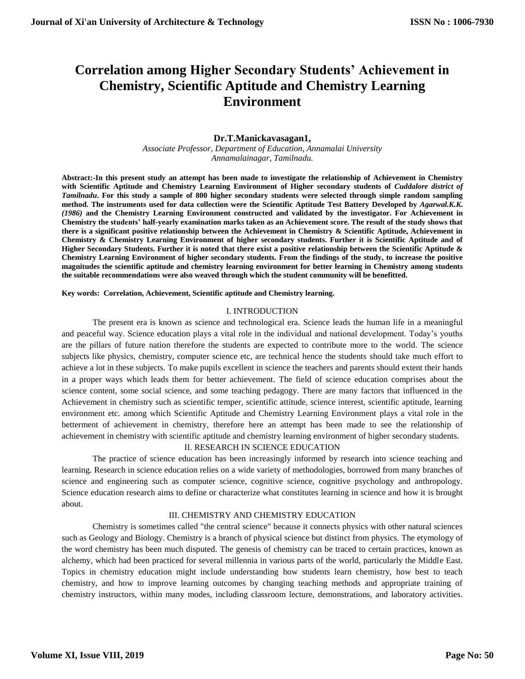# **Correlation among Higher Secondary Students' Achievement in Chemistry, Scientific Aptitude and Chemistry Learning Environment**

# **Dr.T.Manickavasagan1,**

*Associate Professor, Department of Education, Annamalai University Annamalainagar, Tamilnadu.*

**Abstract:-In this present study an attempt has been made to investigate the relationship of Achievement in Chemistry with Scientific Aptitude and Chemistry Learning Environment of Higher secondary students of** *Cuddalore district of Tamilnadu***. For this study a sample of 800 higher secondary students were selected through simple random sampling method. The instruments used for data collection were the Scientific Aptitude Test Battery Developed by** *Agarwal.K.K. (1986)* **and the Chemistry Learning Environment constructed and validated by the investigator. For Achievement in Chemistry the students' half-yearly examination marks taken as an Achievement score. The result of the study shows that there is a significant positive relationship between the Achievement in Chemistry & Scientific Aptitude, Achievement in Chemistry & Chemistry Learning Environment of higher secondary students. Further it is Scientific Aptitude and of Higher Secondary Students. Further it is noted that there exist a positive relationship between the Scientific Aptitude & Chemistry Learning Environment of higher secondary students. From the findings of the study, to increase the positive magnitudes the scientific aptitude and chemistry learning environment for better learning in Chemistry among students the suitable recommendations were also weaved through which the student community will be benefitted.** 

**Key words: Correlation, Achievement, Scientific aptitude and Chemistry learning.**

## I. INTRODUCTION

The present era is known as science and technological era. Science leads the human life in a meaningful and peaceful way. Science education plays a vital role in the individual and national development. Today's youths are the pillars of future nation therefore the students are expected to contribute more to the world. The science subjects like physics, chemistry, computer science etc, are technical hence the students should take much effort to achieve a lot in these subjects. To make pupils excellent in science the teachers and parents should extent their hands in a proper ways which leads them for better achievement. The field of science education comprises about the science content, some social science, and some teaching pedagogy. There are many factors that influenced in the Achievement in chemistry such as scientific temper, scientific attitude, science interest, scientific aptitude, learning environment etc. among which Scientific Aptitude and Chemistry Learning Environment plays a vital role in the betterment of achievement in chemistry, therefore here an attempt has been made to see the relationship of achievement in chemistry with scientific aptitude and chemistry learning environment of higher secondary students.

### II. RESEARCH IN SCIENCE EDUCATION

The practice of science education has been increasingly informed by research into science teaching and learning. Research in science education relies on a wide variety of methodologies, borrowed from many branches of science and engineering such as computer science, cognitive science, cognitive psychology and anthropology. Science education research aims to define or characterize what constitutes learning in science and how it is brought about.

## III. CHEMISTRY AND CHEMISTRY EDUCATION

Chemistry is sometimes called "the central science" because it connects physics with other natural sciences such as Geology and Biology. Chemistry is a branch of physical science but distinct from physics. The etymology of the word chemistry has been much disputed. The genesis of chemistry can be traced to certain practices, known as alchemy, which had been practiced for several millennia in various parts of the world, particularly the Middle East. Topics in chemistry education might include understanding how students learn chemistry, how best to teach chemistry, and how to improve learning outcomes by changing teaching methods and appropriate training of chemistry instructors, within many modes, including classroom lecture, demonstrations, and laboratory activities.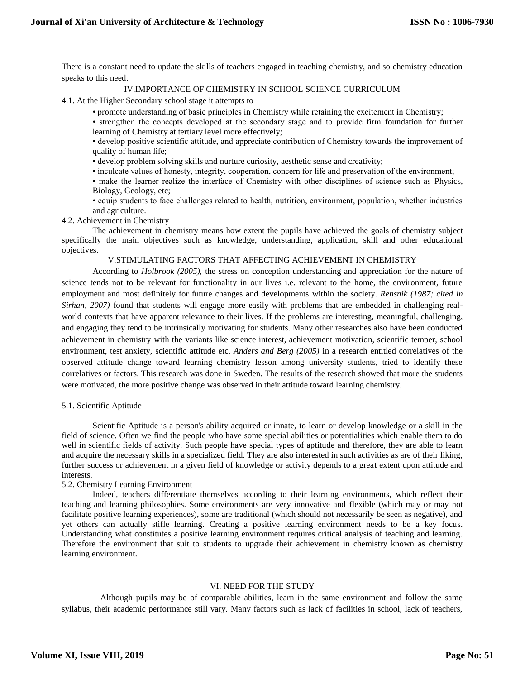There is a constant need to update the skills of teachers engaged in teaching chemistry, and so chemistry education speaks to this need.

### IV.IMPORTANCE OF CHEMISTRY IN SCHOOL SCIENCE CURRICULUM

4.1. At the Higher Secondary school stage it attempts to

• promote understanding of basic principles in Chemistry while retaining the excitement in Chemistry;

• strengthen the concepts developed at the secondary stage and to provide firm foundation for further learning of Chemistry at tertiary level more effectively;

• develop positive scientific attitude, and appreciate contribution of Chemistry towards the improvement of quality of human life;

• develop problem solving skills and nurture curiosity, aesthetic sense and creativity;

• inculcate values of honesty, integrity, cooperation, concern for life and preservation of the environment;

• make the learner realize the interface of Chemistry with other disciplines of science such as Physics, Biology, Geology, etc;

• equip students to face challenges related to health, nutrition, environment, population, whether industries and agriculture.

4.2. Achievement in Chemistry

The achievement in chemistry means how extent the pupils have achieved the goals of chemistry subject specifically the main objectives such as knowledge, understanding, application, skill and other educational objectives.

V.STIMULATING FACTORS THAT AFFECTING ACHIEVEMENT IN CHEMISTRY

According to *Holbrook (2005),* the stress on conception understanding and appreciation for the nature of science tends not to be relevant for functionality in our lives i.e. relevant to the home, the environment, future employment and most definitely for future changes and developments within the society. *Rensnik (1987; cited in Sirhan, 2007)* found that students will engage more easily with problems that are embedded in challenging realworld contexts that have apparent relevance to their lives. If the problems are interesting, meaningful, challenging, and engaging they tend to be intrinsically motivating for students. Many other researches also have been conducted achievement in chemistry with the variants like science interest, achievement motivation, scientific temper, school environment, test anxiety, scientific attitude etc. *Anders and Berg (2005)* in a research entitled correlatives of the observed attitude change toward learning chemistry lesson among university students, tried to identify these correlatives or factors. This research was done in Sweden. The results of the research showed that more the students were motivated, the more positive change was observed in their attitude toward learning chemistry.

### 5.1. Scientific Aptitude

Scientific Aptitude is a person's ability acquired or innate, to learn or develop knowledge or a skill in the field of science. Often we find the people who have some special abilities or potentialities which enable them to do well in scientific fields of activity. Such people have special types of aptitude and therefore, they are able to learn and acquire the necessary skills in a specialized field. They are also interested in such activities as are of their liking, further success or achievement in a given field of knowledge or activity depends to a great extent upon attitude and interests.

# 5.2. Chemistry Learning Environment

Indeed, teachers differentiate themselves according to their learning environments, which reflect their teaching and learning philosophies. Some environments are very innovative and flexible (which may or may not facilitate positive learning experiences), some are traditional (which should not necessarily be seen as negative), and yet others can actually stifle learning. Creating a positive learning environment needs to be a key focus. Understanding what constitutes a positive learning environment requires critical analysis of teaching and learning. Therefore the environment that suit to students to upgrade their achievement in chemistry known as chemistry learning environment.

### VI. NEED FOR THE STUDY

Although pupils may be of comparable abilities, learn in the same environment and follow the same syllabus, their academic performance still vary. Many factors such as lack of facilities in school, lack of teachers,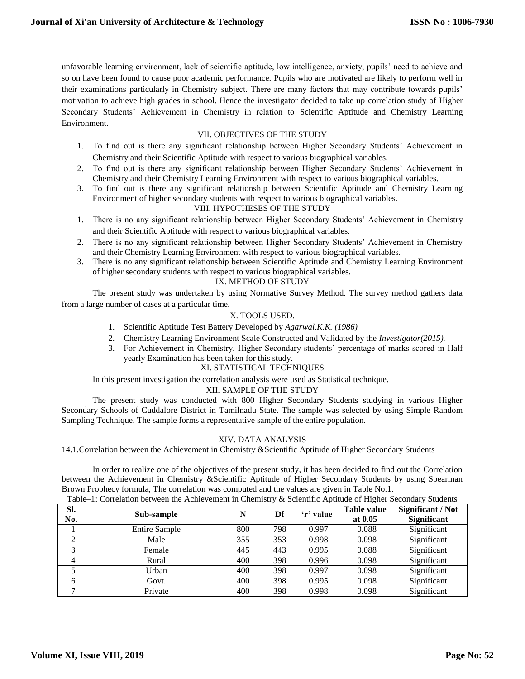unfavorable learning environment, lack of scientific aptitude, low intelligence, anxiety, pupils' need to achieve and so on have been found to cause poor academic performance. Pupils who are motivated are likely to perform well in their examinations particularly in Chemistry subject. There are many factors that may contribute towards pupils' motivation to achieve high grades in school. Hence the investigator decided to take up correlation study of Higher Secondary Students' Achievement in Chemistry in relation to Scientific Aptitude and Chemistry Learning Environment.

# VII. OBJECTIVES OF THE STUDY

- 1. To find out is there any significant relationship between Higher Secondary Students' Achievement in Chemistry and their Scientific Aptitude with respect to various biographical variables.
- 2. To find out is there any significant relationship between Higher Secondary Students' Achievement in Chemistry and their Chemistry Learning Environment with respect to various biographical variables.
- 3. To find out is there any significant relationship between Scientific Aptitude and Chemistry Learning Environment of higher secondary students with respect to various biographical variables.

# VIII. HYPOTHESES OF THE STUDY

- 1. There is no any significant relationship between Higher Secondary Students' Achievement in Chemistry and their Scientific Aptitude with respect to various biographical variables.
- 2. There is no any significant relationship between Higher Secondary Students' Achievement in Chemistry and their Chemistry Learning Environment with respect to various biographical variables.
- 3. There is no any significant relationship between Scientific Aptitude and Chemistry Learning Environment of higher secondary students with respect to various biographical variables.

# IX. METHOD OF STUDY

The present study was undertaken by using Normative Survey Method. The survey method gathers data from a large number of cases at a particular time.

# X. TOOLS USED.

- 1. Scientific Aptitude Test Battery Developed by *Agarwal.K.K. (1986)*
- 2. Chemistry Learning Environment Scale Constructed and Validated by the *Investigator(2015).*
- 3. For Achievement in Chemistry, Higher Secondary students' percentage of marks scored in Half yearly Examination has been taken for this study.

# XI. STATISTICAL TECHNIQUES

In this present investigation the correlation analysis were used as Statistical technique.

# XII. SAMPLE OF THE STUDY

The present study was conducted with 800 Higher Secondary Students studying in various Higher Secondary Schools of Cuddalore District in Tamilnadu State. The sample was selected by using Simple Random Sampling Technique. The sample forms a representative sample of the entire population.

### XIV. DATA ANALYSIS

14.1.Correlation between the Achievement in Chemistry &Scientific Aptitude of Higher Secondary Students

In order to realize one of the objectives of the present study, it has been decided to find out the Correlation between the Achievement in Chemistry &Scientific Aptitude of Higher Secondary Students by using Spearman Brown Prophecy formula, The correlation was computed and the values are given in Table No.1.

| SI.<br>No. | Sub-sample           | N   | Df  | 'r' value | <b>Table value</b><br>at 0.05 | Significant / Not<br><b>Significant</b> |
|------------|----------------------|-----|-----|-----------|-------------------------------|-----------------------------------------|
|            | <b>Entire Sample</b> | 800 | 798 | 0.997     | 0.088                         | Significant                             |
|            | Male                 | 355 | 353 | 0.998     | 0.098                         | Significant                             |
|            | Female               | 445 | 443 | 0.995     | 0.088                         | Significant                             |
| 4          | Rural                | 400 | 398 | 0.996     | 0.098                         | Significant                             |
|            | Urban                | 400 | 398 | 0.997     | 0.098                         | Significant                             |
| 6          | Govt.                | 400 | 398 | 0.995     | 0.098                         | Significant                             |
|            | Private              | 400 | 398 | 0.998     | 0.098                         | Significant                             |

Table–1: Correlation between the Achievement in Chemistry & Scientific Aptitude of Higher Secondary Students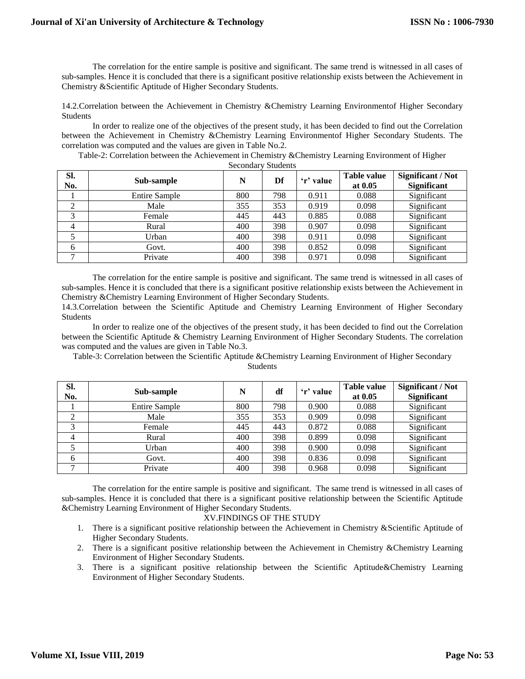The correlation for the entire sample is positive and significant. The same trend is witnessed in all cases of sub-samples. Hence it is concluded that there is a significant positive relationship exists between the Achievement in Chemistry &Scientific Aptitude of Higher Secondary Students.

14.2.Correlation between the Achievement in Chemistry &Chemistry Learning Environmentof Higher Secondary Students

In order to realize one of the objectives of the present study, it has been decided to find out the Correlation between the Achievement in Chemistry &Chemistry Learning Environmentof Higher Secondary Students. The correlation was computed and the values are given in Table No.2.

Table-2: Correlation between the Achievement in Chemistry &Chemistry Learning Environment of Higher Secondary Students

| SI.<br>No.     | Sub-sample           | N   | Df  | 'r' value | <b>Table value</b><br>at 0.05 | <b>Significant / Not</b><br><b>Significant</b> |
|----------------|----------------------|-----|-----|-----------|-------------------------------|------------------------------------------------|
|                | <b>Entire Sample</b> | 800 | 798 | 0.911     | 0.088                         | Significant                                    |
| ◠              | Male                 | 355 | 353 | 0.919     | 0.098                         | Significant                                    |
| 3              | Female               | 445 | 443 | 0.885     | 0.088                         | Significant                                    |
| $\overline{4}$ | Rural                | 400 | 398 | 0.907     | 0.098                         | Significant                                    |
|                | Urban                | 400 | 398 | 0.911     | 0.098                         | Significant                                    |
| 6              | Govt.                | 400 | 398 | 0.852     | 0.098                         | Significant                                    |
|                | Private              | 400 | 398 | 0.971     | 0.098                         | Significant                                    |

The correlation for the entire sample is positive and significant. The same trend is witnessed in all cases of sub-samples. Hence it is concluded that there is a significant positive relationship exists between the Achievement in Chemistry &Chemistry Learning Environment of Higher Secondary Students.

14.3.Correlation between the Scientific Aptitude and Chemistry Learning Environment of Higher Secondary Students

In order to realize one of the objectives of the present study, it has been decided to find out the Correlation between the Scientific Aptitude & Chemistry Learning Environment of Higher Secondary Students. The correlation was computed and the values are given in Table No.3.

Table-3: Correlation between the Scientific Aptitude &Chemistry Learning Environment of Higher Secondary Students

| Sl.<br>No. | Sub-sample           | N   | df  | 'r' value | <b>Table value</b><br>at 0.05 | <b>Significant / Not</b><br><b>Significant</b> |
|------------|----------------------|-----|-----|-----------|-------------------------------|------------------------------------------------|
|            | <b>Entire Sample</b> | 800 | 798 | 0.900     | 0.088                         | Significant                                    |
| ◠          | Male                 | 355 | 353 | 0.909     | 0.098                         | Significant                                    |
| 3          | Female               | 445 | 443 | 0.872     | 0.088                         | Significant                                    |
| 4          | Rural                | 400 | 398 | 0.899     | 0.098                         | Significant                                    |
|            | Urban                | 400 | 398 | 0.900     | 0.098                         | Significant                                    |
| 6          | Govt.                | 400 | 398 | 0.836     | 0.098                         | Significant                                    |
|            | Private              | 400 | 398 | 0.968     | 0.098                         | Significant                                    |

The correlation for the entire sample is positive and significant. The same trend is witnessed in all cases of sub-samples. Hence it is concluded that there is a significant positive relationship between the Scientific Aptitude &Chemistry Learning Environment of Higher Secondary Students.

# XV.FINDINGS OF THE STUDY

- 1. There is a significant positive relationship between the Achievement in Chemistry &Scientific Aptitude of Higher Secondary Students.
- 2. There is a significant positive relationship between the Achievement in Chemistry &Chemistry Learning Environment of Higher Secondary Students.
- 3. There is a significant positive relationship between the Scientific Aptitude&Chemistry Learning Environment of Higher Secondary Students.